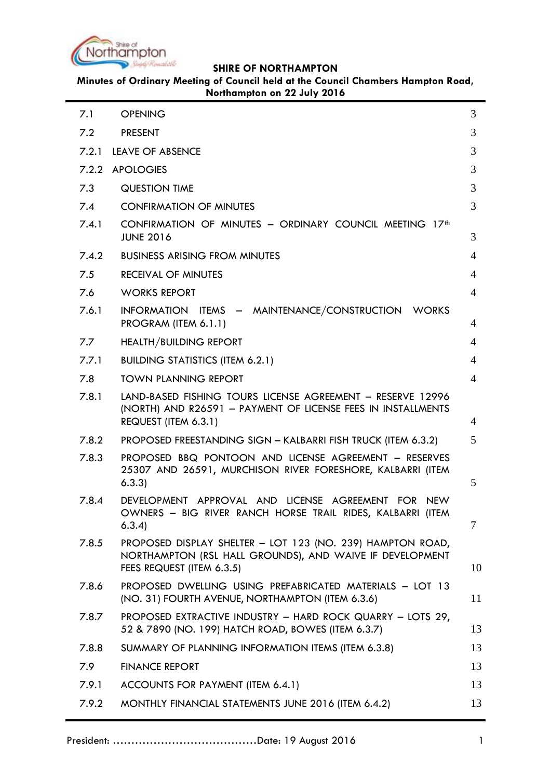

**Minutes of Ordinary Meeting of Council held at the Council Chambers Hampton Road, Northampton on 22 July 2016**

| 7.1   | <b>OPENING</b>                                                                                                                                      | 3  |
|-------|-----------------------------------------------------------------------------------------------------------------------------------------------------|----|
| 7.2   | <b>PRESENT</b>                                                                                                                                      | 3  |
| 7.2.1 | <b>LEAVE OF ABSENCE</b>                                                                                                                             | 3  |
|       | 7.2.2 APOLOGIES                                                                                                                                     | 3  |
| 7.3   | <b>QUESTION TIME</b>                                                                                                                                | 3  |
| 7.4   | <b>CONFIRMATION OF MINUTES</b>                                                                                                                      | 3  |
| 7.4.1 | CONFIRMATION OF MINUTES - ORDINARY COUNCIL MEETING 17 <sup>th</sup><br><b>JUNE 2016</b>                                                             | 3  |
| 7.4.2 | <b>BUSINESS ARISING FROM MINUTES</b>                                                                                                                | 4  |
| 7.5   | RECEIVAL OF MINUTES                                                                                                                                 | 4  |
| 7.6   | <b>WORKS REPORT</b>                                                                                                                                 | 4  |
| 7.6.1 | INFORMATION ITEMS - MAINTENANCE/CONSTRUCTION WORKS<br>PROGRAM (ITEM 6.1.1)                                                                          | 4  |
| 7.7   | <b>HEALTH/BUILDING REPORT</b>                                                                                                                       | 4  |
| 7.7.1 | <b>BUILDING STATISTICS (ITEM 6.2.1)</b>                                                                                                             | 4  |
| 7.8   | <b>TOWN PLANNING REPORT</b>                                                                                                                         | 4  |
| 7.8.1 | LAND-BASED FISHING TOURS LICENSE AGREEMENT - RESERVE 12996<br>(NORTH) AND R26591 - PAYMENT OF LICENSE FEES IN INSTALLMENTS<br>REQUEST (ITEM 6.3.1)  | 4  |
| 7.8.2 | PROPOSED FREESTANDING SIGN - KALBARRI FISH TRUCK (ITEM 6.3.2)                                                                                       | 5  |
| 7.8.3 | PROPOSED BBQ PONTOON AND LICENSE AGREEMENT - RESERVES<br>25307 AND 26591, MURCHISON RIVER FORESHORE, KALBARRI (ITEM<br>6.3.3)                       | 5  |
| 7.8.4 | DEVELOPMENT APPROVAL AND LICENSE AGREEMENT FOR NEW<br>OWNERS - BIG RIVER RANCH HORSE TRAIL RIDES, KALBARRI (ITEM<br>6.3.4                           | 7  |
| 7.8.5 | PROPOSED DISPLAY SHELTER - LOT 123 (NO. 239) HAMPTON ROAD,<br>NORTHAMPTON (RSL HALL GROUNDS), AND WAIVE IF DEVELOPMENT<br>FEES REQUEST (ITEM 6.3.5) | 10 |
| 7.8.6 | PROPOSED DWELLING USING PREFABRICATED MATERIALS - LOT 13<br>(NO. 31) FOURTH AVENUE, NORTHAMPTON (ITEM 6.3.6)                                        | 11 |
| 7.8.7 | PROPOSED EXTRACTIVE INDUSTRY - HARD ROCK QUARRY - LOTS 29,<br>52 & 7890 (NO. 199) HATCH ROAD, BOWES (ITEM 6.3.7)                                    | 13 |
| 7.8.8 | SUMMARY OF PLANNING INFORMATION ITEMS (ITEM 6.3.8)                                                                                                  | 13 |
| 7.9   | <b>FINANCE REPORT</b>                                                                                                                               | 13 |
| 7.9.1 | ACCOUNTS FOR PAYMENT (ITEM 6.4.1)                                                                                                                   | 13 |
| 7.9.2 | MONTHLY FINANCIAL STATEMENTS JUNE 2016 (ITEM 6.4.2)                                                                                                 | 13 |
|       |                                                                                                                                                     |    |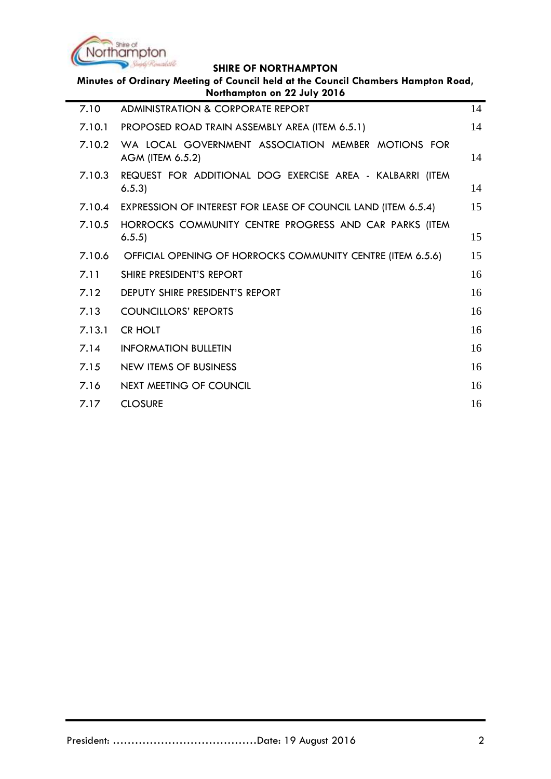

| Minutes of Ordinary Meeting of Council held at the Council Chambers Hampton Road,<br>Northampton on 22 July 2016 |                                                                        |    |  |  |
|------------------------------------------------------------------------------------------------------------------|------------------------------------------------------------------------|----|--|--|
| 7.10                                                                                                             | ADMINISTRATION & CORPORATE REPORT                                      | 14 |  |  |
| 7.10.1                                                                                                           | PROPOSED ROAD TRAIN ASSEMBLY AREA (ITEM 6.5.1)                         | 14 |  |  |
| 7.10.2                                                                                                           | WA LOCAL GOVERNMENT ASSOCIATION MEMBER MOTIONS FOR<br>AGM (ITEM 6.5.2) | 14 |  |  |
| 7.10.3                                                                                                           | REQUEST FOR ADDITIONAL DOG EXERCISE AREA - KALBARRI (ITEM<br>6.5.3     | 14 |  |  |
| 7.10.4                                                                                                           | EXPRESSION OF INTEREST FOR LEASE OF COUNCIL LAND (ITEM 6.5.4)          | 15 |  |  |
| 7.10.5                                                                                                           | HORROCKS COMMUNITY CENTRE PROGRESS AND CAR PARKS (ITEM<br>6.5.5)       | 15 |  |  |
| 7.10.6                                                                                                           | OFFICIAL OPENING OF HORROCKS COMMUNITY CENTRE (ITEM 6.5.6)             | 15 |  |  |
| 7.11                                                                                                             | SHIRE PRESIDENT'S REPORT                                               | 16 |  |  |
| 7.12                                                                                                             | <b>DEPUTY SHIRE PRESIDENT'S REPORT</b>                                 | 16 |  |  |
| 7.13                                                                                                             | <b>COUNCILLORS' REPORTS</b>                                            | 16 |  |  |
| 7.13.1                                                                                                           | <b>CR HOLT</b>                                                         | 16 |  |  |
| 7.14                                                                                                             | <b>INFORMATION BULLETIN</b>                                            | 16 |  |  |
| 7.15                                                                                                             | <b>NEW ITEMS OF BUSINESS</b>                                           | 16 |  |  |
| 7.16                                                                                                             | NEXT MEETING OF COUNCIL                                                | 16 |  |  |
| 7.17                                                                                                             | <b>CLOSURE</b>                                                         | 16 |  |  |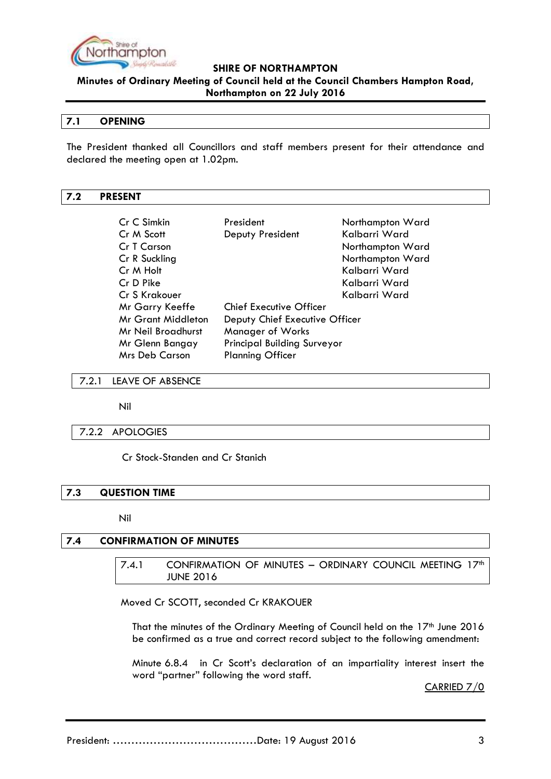

**Minutes of Ordinary Meeting of Council held at the Council Chambers Hampton Road,** 

### **Northampton on 22 July 2016**

### <span id="page-2-0"></span>**7.1 OPENING**

The President thanked all Councillors and staff members present for their attendance and declared the meeting open at 1.02pm.

## <span id="page-2-1"></span>**7.2 PRESENT**

| Cr C Simkin                                           | President                      | Northampton Ward |
|-------------------------------------------------------|--------------------------------|------------------|
| Cr M Scott                                            | Deputy President               | Kalbarri Ward    |
| Cr T Carson                                           |                                | Northampton Ward |
| Cr R Suckling                                         |                                | Northampton Ward |
| Cr M Holt                                             |                                | Kalbarri Ward    |
| Cr D Pike                                             |                                | Kalbarri Ward    |
| Cr S Krakouer                                         |                                | Kalbarri Ward    |
| Mr Garry Keeffe                                       | <b>Chief Executive Officer</b> |                  |
| <b>Mr Grant Middleton</b>                             | Deputy Chief Executive Officer |                  |
| Manager of Works<br>Mr Neil Broadhurst                |                                |                  |
| <b>Principal Building Surveyor</b><br>Mr Glenn Bangay |                                |                  |
| <b>Mrs Deb Carson</b>                                 | <b>Planning Officer</b>        |                  |

#### <span id="page-2-2"></span>7.2.1 LEAVE OF ABSENCE

Nil

### <span id="page-2-3"></span>7.2.2 APOLOGIES

Cr Stock-Standen and Cr Stanich

### <span id="page-2-4"></span>**7.3 QUESTION TIME**

Nil

## <span id="page-2-6"></span><span id="page-2-5"></span>**7.4 CONFIRMATION OF MINUTES**

7.4.1 CONFIRMATION OF MINUTES - ORDINARY COUNCIL MEETING 17<sup>th</sup> JUNE 2016

Moved Cr SCOTT, seconded Cr KRAKOUER

That the minutes of the Ordinary Meeting of Council held on the 17<sup>th</sup> June 2016 be confirmed as a true and correct record subject to the following amendment:

Minute 6.8.4 in Cr Scott"s declaration of an impartiality interest insert the word "partner" following the word staff.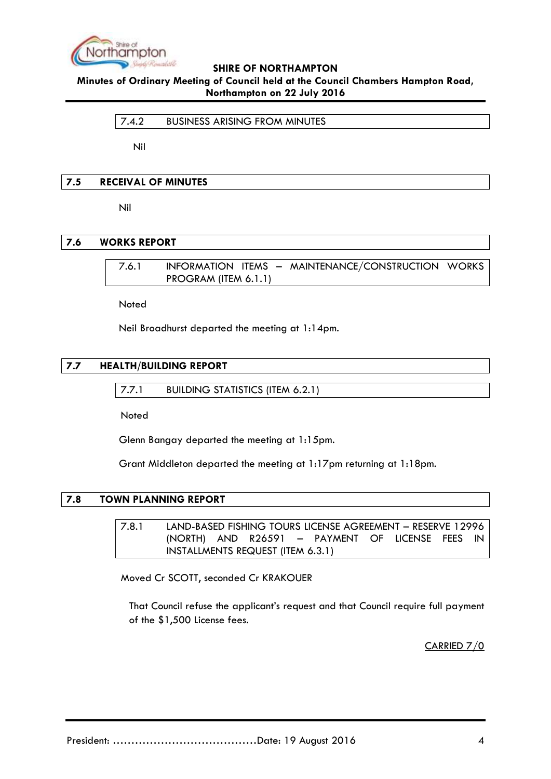

<span id="page-3-0"></span>**Minutes of Ordinary Meeting of Council held at the Council Chambers Hampton Road, Northampton on 22 July 2016**

7.4.2 BUSINESS ARISING FROM MINUTES

Nil

### <span id="page-3-1"></span>**7.5 RECEIVAL OF MINUTES**

Nil

## <span id="page-3-3"></span><span id="page-3-2"></span>**7.6 WORKS REPORT**

7.6.1 INFORMATION ITEMS – MAINTENANCE/CONSTRUCTION WORKS PROGRAM (ITEM 6.1.1)

Noted

Neil Broadhurst departed the meeting at 1:14pm.

## <span id="page-3-5"></span><span id="page-3-4"></span>**7.7 HEALTH/BUILDING REPORT**

7.7.1 BUILDING STATISTICS (ITEM 6.2.1)

Noted

Glenn Bangay departed the meeting at 1:15pm.

Grant Middleton departed the meeting at 1:17pm returning at 1:18pm.

## <span id="page-3-7"></span><span id="page-3-6"></span>**7.8 TOWN PLANNING REPORT**

7.8.1 LAND-BASED FISHING TOURS LICENSE AGREEMENT – RESERVE 12996 (NORTH) AND R26591 – PAYMENT OF LICENSE FEES IN INSTALLMENTS REQUEST (ITEM 6.3.1)

Moved Cr SCOTT, seconded Cr KRAKOUER

That Council refuse the applicant"s request and that Council require full payment of the \$1,500 License fees.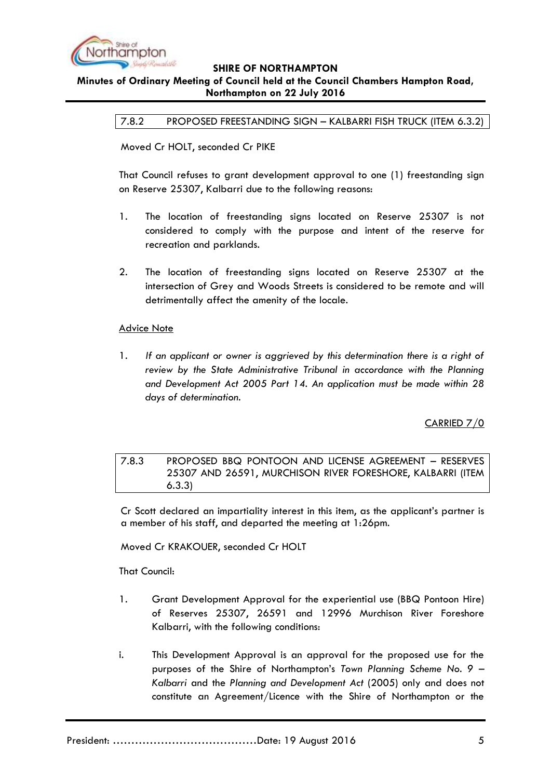

### <span id="page-4-0"></span>**Minutes of Ordinary Meeting of Council held at the Council Chambers Hampton Road, Northampton on 22 July 2016**

7.8.2 PROPOSED FREESTANDING SIGN – KALBARRI FISH TRUCK (ITEM 6.3.2)

Moved Cr HOLT, seconded Cr PIKE

That Council refuses to grant development approval to one (1) freestanding sign on Reserve 25307, Kalbarri due to the following reasons:

- 1. The location of freestanding signs located on Reserve 25307 is not considered to comply with the purpose and intent of the reserve for recreation and parklands.
- 2. The location of freestanding signs located on Reserve 25307 at the intersection of Grey and Woods Streets is considered to be remote and will detrimentally affect the amenity of the locale.

### **Advice Note**

1. *If an applicant or owner is aggrieved by this determination there is a right of review by the State Administrative Tribunal in accordance with the Planning and Development Act 2005 Part 14. An application must be made within 28 days of determination.*

CARRIED 7/0

<span id="page-4-1"></span>7.8.3 PROPOSED BBQ PONTOON AND LICENSE AGREEMENT – RESERVES 25307 AND 26591, MURCHISON RIVER FORESHORE, KALBARRI (ITEM 6.3.3)

Cr Scott declared an impartiality interest in this item, as the applicant"s partner is a member of his staff, and departed the meeting at 1:26pm.

Moved Cr KRAKOUER, seconded Cr HOLT

That Council:

- 1. Grant Development Approval for the experiential use (BBQ Pontoon Hire) of Reserves 25307, 26591 and 12996 Murchison River Foreshore Kalbarri, with the following conditions:
- i. This Development Approval is an approval for the proposed use for the purposes of the Shire of Northampton"s *Town Planning Scheme No. 9 – Kalbarri* and the *Planning and Development Act* (2005) only and does not constitute an Agreement/Licence with the Shire of Northampton or the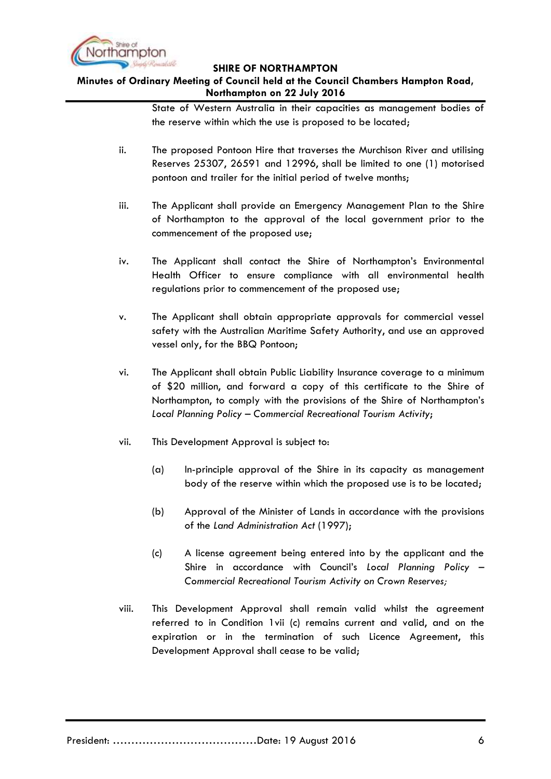

# **Minutes of Ordinary Meeting of Council held at the Council Chambers Hampton Road, Northampton on 22 July 2016**

State of Western Australia in their capacities as management bodies of the reserve within which the use is proposed to be located;

- ii. The proposed Pontoon Hire that traverses the Murchison River and utilising Reserves 25307, 26591 and 12996, shall be limited to one (1) motorised pontoon and trailer for the initial period of twelve months;
- iii. The Applicant shall provide an Emergency Management Plan to the Shire of Northampton to the approval of the local government prior to the commencement of the proposed use;
- iv. The Applicant shall contact the Shire of Northampton"s Environmental Health Officer to ensure compliance with all environmental health regulations prior to commencement of the proposed use;
- v. The Applicant shall obtain appropriate approvals for commercial vessel safety with the Australian Maritime Safety Authority, and use an approved vessel only, for the BBQ Pontoon;
- vi. The Applicant shall obtain Public Liability Insurance coverage to a minimum of \$20 million, and forward a copy of this certificate to the Shire of Northampton, to comply with the provisions of the Shire of Northampton"s *Local Planning Policy – Commercial Recreational Tourism Activity*;
- vii. This Development Approval is subject to:
	- (a) In-principle approval of the Shire in its capacity as management body of the reserve within which the proposed use is to be located;
	- (b) Approval of the Minister of Lands in accordance with the provisions of the *Land Administration Act* (1997);
	- (c) A license agreement being entered into by the applicant and the Shire in accordance with Council"s *Local Planning Policy – Commercial Recreational Tourism Activity on Crown Reserves;*
- viii. This Development Approval shall remain valid whilst the agreement referred to in Condition 1vii (c) remains current and valid, and on the expiration or in the termination of such Licence Agreement, this Development Approval shall cease to be valid;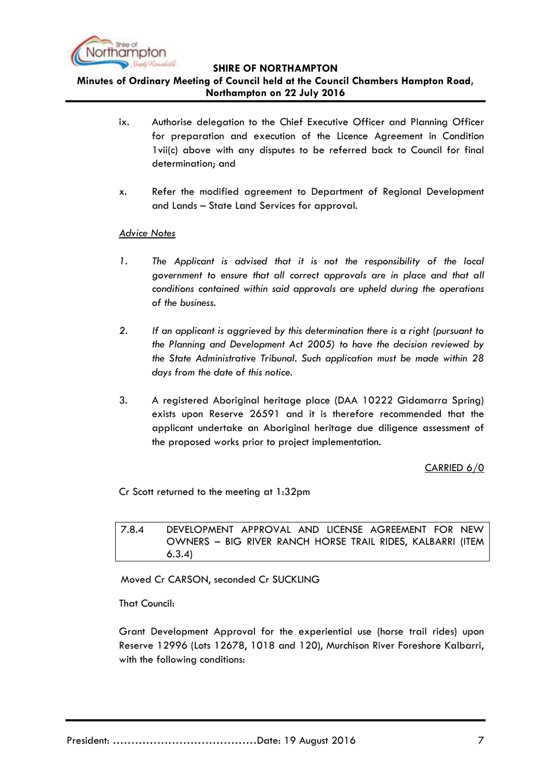

**Minutes of Ordinary Meeting of Council held at the Council Chambers Hampton Road, Northampton on 22 July 2016**

- ix. Authorise delegation to the Chief Executive Officer and Planning Officer for preparation and execution of the Licence Agreement in Condition 1vii(c) above with any disputes to be referred back to Council for final determination; and
- x. Refer the modified agreement to Department of Regional Development and Lands – State Land Services for approval.

### *Advice Notes*

- 1. The Applicant is advised that it is not the responsibility of the local *government to ensure that all correct approvals are in place and that all conditions contained within said approvals are upheld during the operations of the business.*
- *2. If an applicant is aggrieved by this determination there is a right (pursuant to the Planning and Development Act 2005) to have the decision reviewed by the State Administrative Tribunal. Such application must be made within 28 days from the date of this notice.*
- 3. A registered Aboriginal heritage place (DAA 10222 Gidamarra Spring) exists upon Reserve 26591 and it is therefore recommended that the applicant undertake an Aboriginal heritage due diligence assessment of the proposed works prior to project implementation.

CARRIED 6/0

Cr Scott returned to the meeting at 1:32pm

<span id="page-6-0"></span>7.8.4 DEVELOPMENT APPROVAL AND LICENSE AGREEMENT FOR NEW OWNERS – BIG RIVER RANCH HORSE TRAIL RIDES, KALBARRI (ITEM 6.3.4)

Moved Cr CARSON, seconded Cr SUCKLING

That Council:

Grant Development Approval for the experiential use (horse trail rides) upon Reserve 12996 (Lots 12678, 1018 and 120), Murchison River Foreshore Kalbarri, with the following conditions: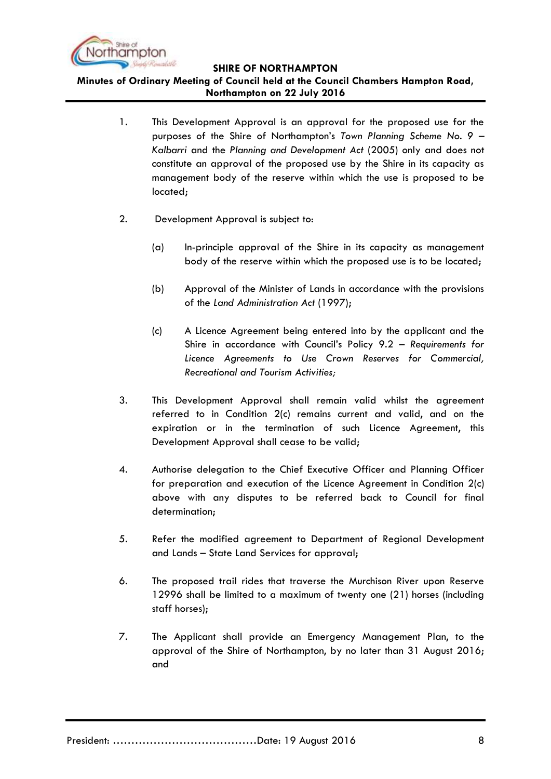

**Minutes of Ordinary Meeting of Council held at the Council Chambers Hampton Road, Northampton on 22 July 2016**

- 1. This Development Approval is an approval for the proposed use for the purposes of the Shire of Northampton"s *Town Planning Scheme No. 9 – Kalbarri* and the *Planning and Development Act* (2005) only and does not constitute an approval of the proposed use by the Shire in its capacity as management body of the reserve within which the use is proposed to be located;
- 2. Development Approval is subject to:
	- (a) In-principle approval of the Shire in its capacity as management body of the reserve within which the proposed use is to be located;
	- (b) Approval of the Minister of Lands in accordance with the provisions of the *Land Administration Act* (1997);
	- (c) A Licence Agreement being entered into by the applicant and the Shire in accordance with Council"s Policy 9.2 – *Requirements for Licence Agreements to Use Crown Reserves for Commercial, Recreational and Tourism Activities;*
- 3. This Development Approval shall remain valid whilst the agreement referred to in Condition 2(c) remains current and valid, and on the expiration or in the termination of such Licence Agreement, this Development Approval shall cease to be valid;
- 4. Authorise delegation to the Chief Executive Officer and Planning Officer for preparation and execution of the Licence Agreement in Condition 2(c) above with any disputes to be referred back to Council for final determination;
- 5. Refer the modified agreement to Department of Regional Development and Lands – State Land Services for approval;
- 6. The proposed trail rides that traverse the Murchison River upon Reserve 12996 shall be limited to a maximum of twenty one (21) horses (including staff horses);
- 7. The Applicant shall provide an Emergency Management Plan, to the approval of the Shire of Northampton, by no later than 31 August 2016; and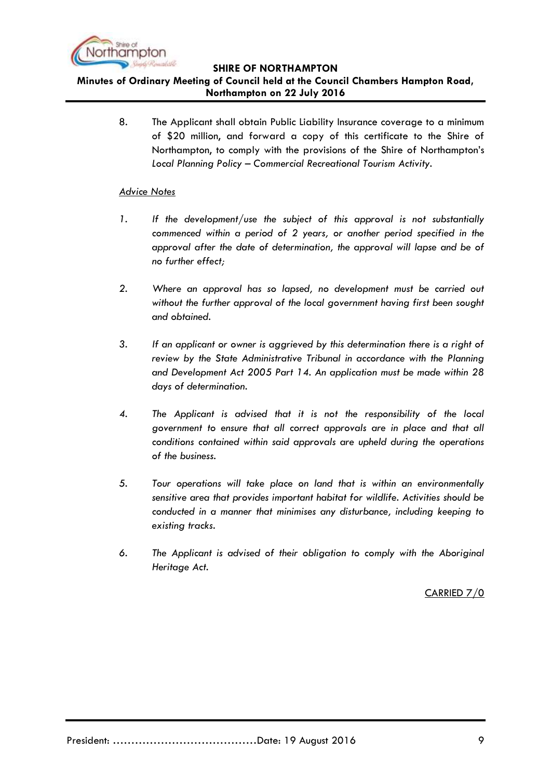

**Minutes of Ordinary Meeting of Council held at the Council Chambers Hampton Road, Northampton on 22 July 2016**

> 8. The Applicant shall obtain Public Liability Insurance coverage to a minimum of \$20 million, and forward a copy of this certificate to the Shire of Northampton, to comply with the provisions of the Shire of Northampton"s *Local Planning Policy – Commercial Recreational Tourism Activity.*

### *Advice Notes*

- *1. If the development/use the subject of this approval is not substantially commenced within a period of 2 years, or another period specified in the approval after the date of determination, the approval will lapse and be of no further effect;*
- *2. Where an approval has so lapsed, no development must be carried out without the further approval of the local government having first been sought and obtained.*
- *3. If an applicant or owner is aggrieved by this determination there is a right of review by the State Administrative Tribunal in accordance with the Planning and Development Act 2005 Part 14. An application must be made within 28 days of determination.*
- *4. The Applicant is advised that it is not the responsibility of the local government to ensure that all correct approvals are in place and that all conditions contained within said approvals are upheld during the operations of the business.*
- *5. Tour operations will take place on land that is within an environmentally sensitive area that provides important habitat for wildlife. Activities should be conducted in a manner that minimises any disturbance, including keeping to existing tracks.*
- *6. The Applicant is advised of their obligation to comply with the Aboriginal Heritage Act.*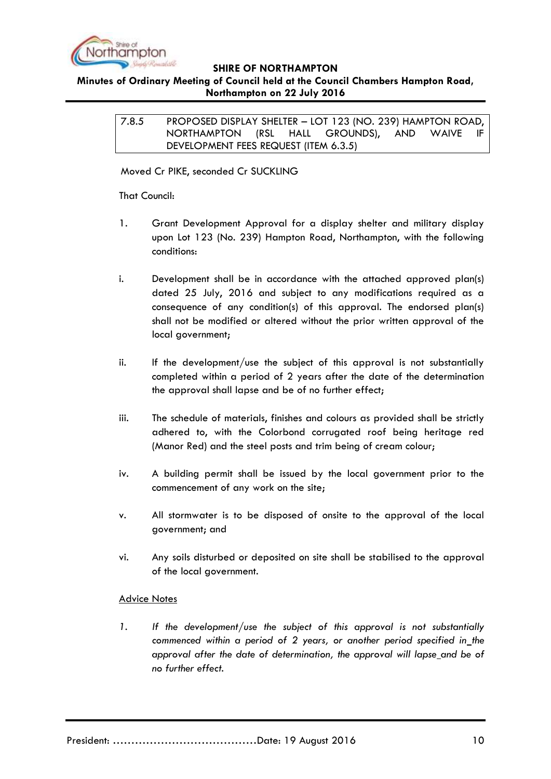

## <span id="page-9-0"></span>**Minutes of Ordinary Meeting of Council held at the Council Chambers Hampton Road, Northampton on 22 July 2016**

7.8.5 PROPOSED DISPLAY SHELTER – LOT 123 (NO. 239) HAMPTON ROAD, NORTHAMPTON (RSL HALL GROUNDS), AND WAIVE IF DEVELOPMENT FEES REQUEST (ITEM 6.3.5)

Moved Cr PIKE, seconded Cr SUCKLING

That Council:

- 1. Grant Development Approval for a display shelter and military display upon Lot 123 (No. 239) Hampton Road, Northampton, with the following conditions:
- i. Development shall be in accordance with the attached approved plan(s) dated 25 July, 2016 and subject to any modifications required as a consequence of any condition(s) of this approval. The endorsed plan(s) shall not be modified or altered without the prior written approval of the local government;
- ii. If the development/use the subject of this approval is not substantially completed within a period of 2 years after the date of the determination the approval shall lapse and be of no further effect;
- iii. The schedule of materials, finishes and colours as provided shall be strictly adhered to, with the Colorbond corrugated roof being heritage red (Manor Red) and the steel posts and trim being of cream colour;
- iv. A building permit shall be issued by the local government prior to the commencement of any work on the site;
- v. All stormwater is to be disposed of onsite to the approval of the local government; and
- vi. Any soils disturbed or deposited on site shall be stabilised to the approval of the local government.

## Advice Notes

*1. If the development/use the subject of this approval is not substantially commenced within a period of 2 years, or another period specified in the approval after the date of determination, the approval will lapse and be of no further effect.*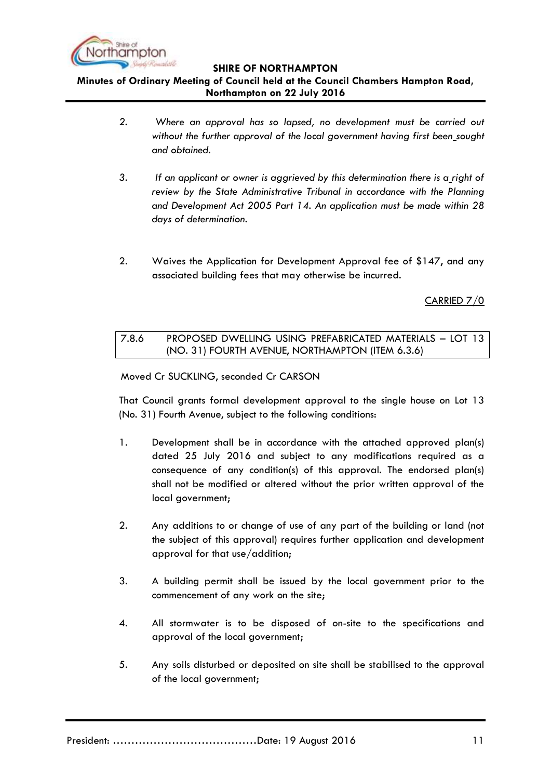

# **Minutes of Ordinary Meeting of Council held at the Council Chambers Hampton Road, Northampton on 22 July 2016**

- *2. Where an approval has so lapsed, no development must be carried out without the further approval of the local government having first been sought and obtained.*
- *3. If an applicant or owner is aggrieved by this determination there is a right of review by the State Administrative Tribunal in accordance with the Planning and Development Act 2005 Part 14. An application must be made within 28 days of determination.*
- 2. Waives the Application for Development Approval fee of \$147, and any associated building fees that may otherwise be incurred.

CARRIED 7/0

## <span id="page-10-0"></span>7.8.6 PROPOSED DWELLING USING PREFABRICATED MATERIALS – LOT 13 (NO. 31) FOURTH AVENUE, NORTHAMPTON (ITEM 6.3.6)

Moved Cr SUCKLING, seconded Cr CARSON

That Council grants formal development approval to the single house on Lot 13 (No. 31) Fourth Avenue, subject to the following conditions:

- 1. Development shall be in accordance with the attached approved plan(s) dated 25 July 2016 and subject to any modifications required as a consequence of any condition(s) of this approval. The endorsed plan(s) shall not be modified or altered without the prior written approval of the local government;
- 2. Any additions to or change of use of any part of the building or land (not the subject of this approval) requires further application and development approval for that use/addition;
- 3. A building permit shall be issued by the local government prior to the commencement of any work on the site;
- 4. All stormwater is to be disposed of on-site to the specifications and approval of the local government;
- 5. Any soils disturbed or deposited on site shall be stabilised to the approval of the local government;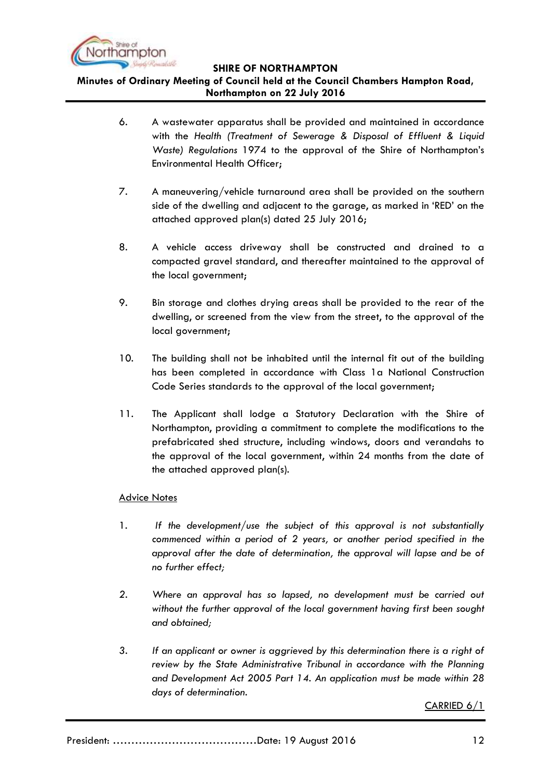

## **Minutes of Ordinary Meeting of Council held at the Council Chambers Hampton Road, Northampton on 22 July 2016**

- 6. A wastewater apparatus shall be provided and maintained in accordance with the *Health (Treatment of Sewerage & Disposal of Effluent & Liquid Waste) Regulations* 1974 to the approval of the Shire of Northampton"s Environmental Health Officer;
- 7. A maneuvering/vehicle turnaround area shall be provided on the southern side of the dwelling and adjacent to the garage, as marked in "RED" on the attached approved plan(s) dated 25 July 2016;
- 8. A vehicle access driveway shall be constructed and drained to a compacted gravel standard, and thereafter maintained to the approval of the local government;
- 9. Bin storage and clothes drying areas shall be provided to the rear of the dwelling, or screened from the view from the street, to the approval of the local government;
- 10. The building shall not be inhabited until the internal fit out of the building has been completed in accordance with Class 1a National Construction Code Series standards to the approval of the local government;
- 11. The Applicant shall lodge a Statutory Declaration with the Shire of Northampton, providing a commitment to complete the modifications to the prefabricated shed structure, including windows, doors and verandahs to the approval of the local government, within 24 months from the date of the attached approved plan(s).

## Advice Notes

- 1. *If the development/use the subject of this approval is not substantially commenced within a period of 2 years, or another period specified in the approval after the date of determination, the approval will lapse and be of no further effect;*
- *2. Where an approval has so lapsed, no development must be carried out without the further approval of the local government having first been sought and obtained;*
- *3. If an applicant or owner is aggrieved by this determination there is a right of review by the State Administrative Tribunal in accordance with the Planning and Development Act 2005 Part 14. An application must be made within 28 days of determination.*

CARRIED 6/1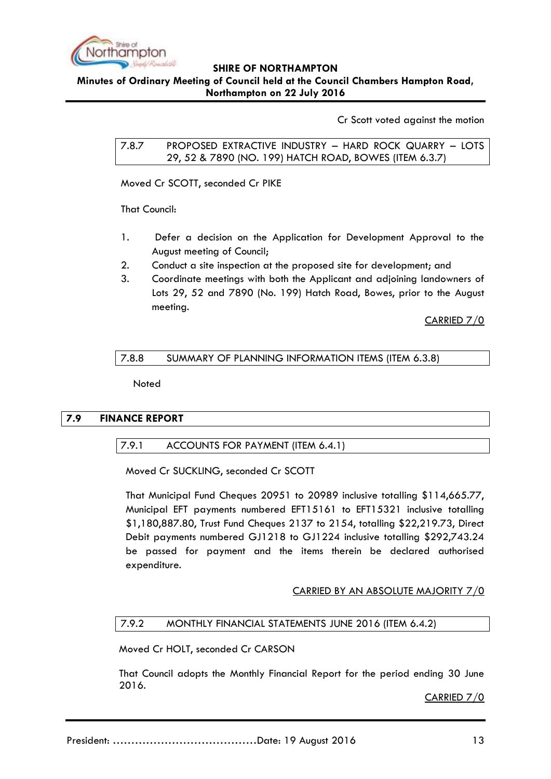

**Minutes of Ordinary Meeting of Council held at the Council Chambers Hampton Road, Northampton on 22 July 2016**

Cr Scott voted against the motion

<span id="page-12-0"></span>7.8.7 PROPOSED EXTRACTIVE INDUSTRY – HARD ROCK QUARRY – LOTS 29, 52 & 7890 (NO. 199) HATCH ROAD, BOWES (ITEM 6.3.7)

Moved Cr SCOTT, seconded Cr PIKE

That Council:

- 1. Defer a decision on the Application for Development Approval to the August meeting of Council;
- 2. Conduct a site inspection at the proposed site for development; and
- 3. Coordinate meetings with both the Applicant and adjoining landowners of Lots 29, 52 and 7890 (No. 199) Hatch Road, Bowes, prior to the August meeting.

CARRIED 7/0

## <span id="page-12-1"></span>7.8.8 SUMMARY OF PLANNING INFORMATION ITEMS (ITEM 6.3.8)

Noted

## <span id="page-12-3"></span><span id="page-12-2"></span>**7.9 FINANCE REPORT**

## 7.9.1 ACCOUNTS FOR PAYMENT (ITEM 6.4.1)

Moved Cr SUCKLING, seconded Cr SCOTT

That Municipal Fund Cheques 20951 to 20989 inclusive totalling \$114,665.77, Municipal EFT payments numbered EFT15161 to EFT15321 inclusive totalling \$1,180,887.80, Trust Fund Cheques 2137 to 2154, totalling \$22,219.73, Direct Debit payments numbered GJ1218 to GJ1224 inclusive totalling \$292,743.24 be passed for payment and the items therein be declared authorised expenditure.

## CARRIED BY AN ABSOLUTE MAJORITY 7/0

## <span id="page-12-4"></span>7.9.2 MONTHLY FINANCIAL STATEMENTS JUNE 2016 (ITEM 6.4.2)

Moved Cr HOLT, seconded Cr CARSON

That Council adopts the Monthly Financial Report for the period ending 30 June 2016.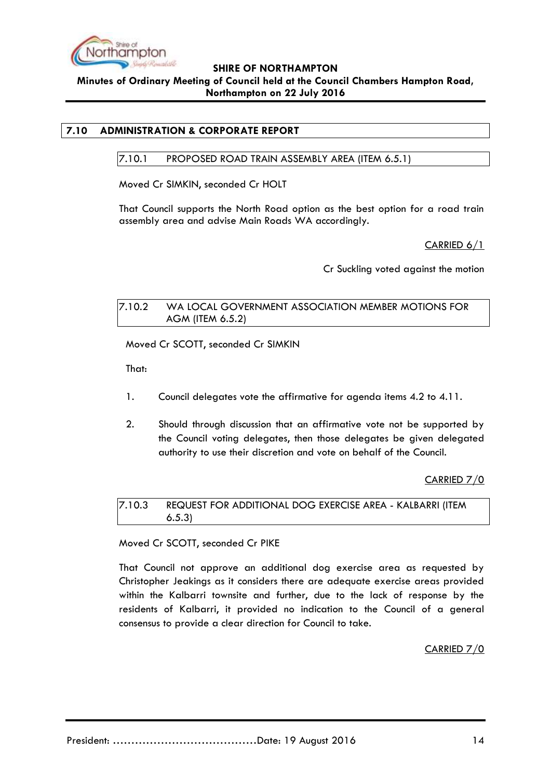

## **SHIRE OF NORTHAMPTON Minutes of Ordinary Meeting of Council held at the Council Chambers Hampton Road, Northampton on 22 July 2016**

## <span id="page-13-1"></span><span id="page-13-0"></span>**7.10 ADMINISTRATION & CORPORATE REPORT**

7.10.1 PROPOSED ROAD TRAIN ASSEMBLY AREA (ITEM 6.5.1)

Moved Cr SIMKIN, seconded Cr HOLT

That Council supports the North Road option as the best option for a road train assembly area and advise Main Roads WA accordingly.

CARRIED 6/1

Cr Suckling voted against the motion

### <span id="page-13-2"></span>7.10.2 WA LOCAL GOVERNMENT ASSOCIATION MEMBER MOTIONS FOR AGM (ITEM 6.5.2)

Moved Cr SCOTT, seconded Cr SIMKIN

That:

- 1. Council delegates vote the affirmative for agenda items 4.2 to 4.11.
- 2. Should through discussion that an affirmative vote not be supported by the Council voting delegates, then those delegates be given delegated authority to use their discretion and vote on behalf of the Council.

CARRIED 7/0

<span id="page-13-3"></span>7.10.3 REQUEST FOR ADDITIONAL DOG EXERCISE AREA - KALBARRI (ITEM 6.5.3)

Moved Cr SCOTT, seconded Cr PIKE

That Council not approve an additional dog exercise area as requested by Christopher Jeakings as it considers there are adequate exercise areas provided within the Kalbarri townsite and further, due to the lack of response by the residents of Kalbarri, it provided no indication to the Council of a general consensus to provide a clear direction for Council to take.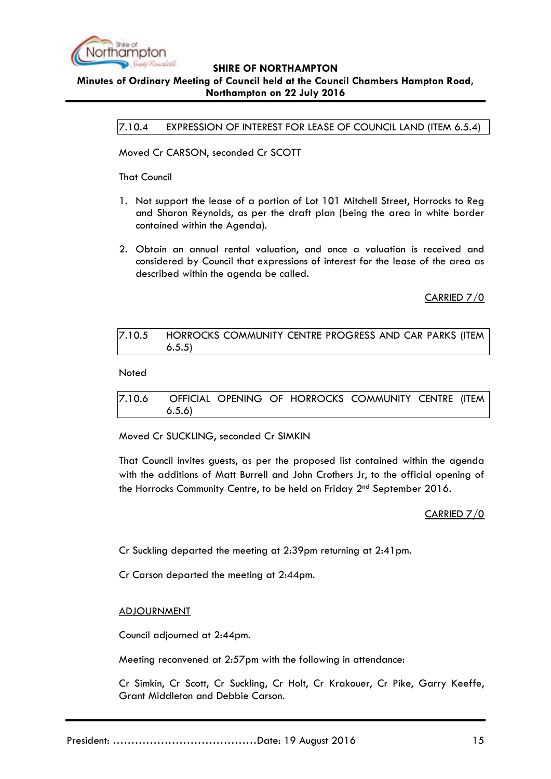

## <span id="page-14-0"></span>**SHIRE OF NORTHAMPTON Minutes of Ordinary Meeting of Council held at the Council Chambers Hampton Road, Northampton on 22 July 2016**

7.10.4 EXPRESSION OF INTEREST FOR LEASE OF COUNCIL LAND (ITEM 6.5.4)

Moved Cr CARSON, seconded Cr SCOTT

That Council

- 1. Not support the lease of a portion of Lot 101 Mitchell Street, Horrocks to Reg and Sharon Reynolds, as per the draft plan (being the area in white border contained within the Agenda).
- 2. Obtain an annual rental valuation, and once a valuation is received and considered by Council that expressions of interest for the lease of the area as described within the agenda be called.

CARRIED 7/0

<span id="page-14-1"></span>7.10.5 HORROCKS COMMUNITY CENTRE PROGRESS AND CAR PARKS (ITEM 6.5.5)

Noted

<span id="page-14-2"></span>7.10.6 OFFICIAL OPENING OF HORROCKS COMMUNITY CENTRE (ITEM 6.5.6)

Moved Cr SUCKLING, seconded Cr SIMKIN

That Council invites guests, as per the proposed list contained within the agenda with the additions of Matt Burrell and John Crothers Jr, to the official opening of the Horrocks Community Centre, to be held on Friday 2<sup>nd</sup> September 2016.

CARRIED 7/0

Cr Suckling departed the meeting at 2:39pm returning at 2:41pm.

Cr Carson departed the meeting at 2:44pm.

### ADJOURNMENT

Council adjourned at 2:44pm.

Meeting reconvened at 2:57pm with the following in attendance:

Cr Simkin, Cr Scott, Cr Suckling, Cr Holt, Cr Krakouer, Cr Pike, Garry Keeffe, Grant Middleton and Debbie Carson.